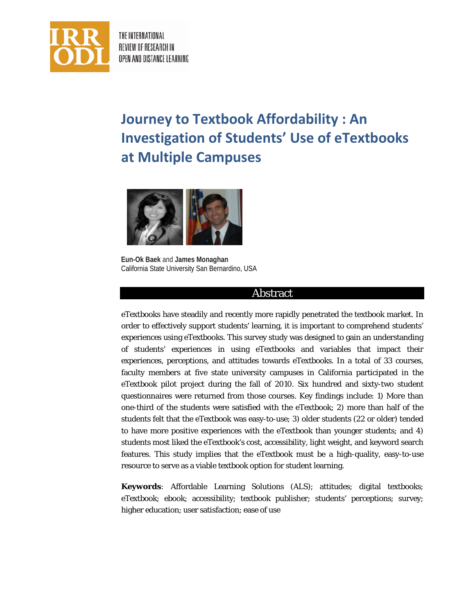

THE INTERNATIONAL REVIEW OF RESEARCH IN OPEN AND DISTANCE LEARNING

# **Journey to Textbook Affordability : An Investigation of Students' Use of eTextbooks at Multiple Campuses**



**Eun-Ok Baek** and **James Monaghan** California State University San Bernardino, USA

# Abstract

eTextbooks have steadily and recently more rapidly penetrated the textbook market. In order to effectively support students' learning, it is important to comprehend students' experiences using eTextbooks. This survey study was designed to gain an understanding of students' experiences in using eTextbooks and variables that impact their experiences, perceptions, and attitudes towards eTextbooks. In a total of 33 courses, faculty members at five state university campuses in California participated in the eTextbook pilot project during the fall of 2010. Six hundred and sixty-two student questionnaires were returned from those courses. Key findings include: 1) More than one-third of the students were satisfied with the eTextbook; 2) more than half of the students felt that the eTextbook was easy-to-use; 3) older students (22 or older) tended to have more positive experiences with the eTextbook than younger students; and 4) students most liked the eTextbook's cost, accessibility, light weight, and keyword search features. This study implies that the eTextbook must be a high-quality, easy-to-use resource to serve as a viable textbook option for student learning.

**Keywords***:* Affordable Learning Solutions (ALS); attitudes; digital textbooks; eTextbook; ebook; accessibility; textbook publisher; students' perceptions; survey; higher education; user satisfaction; ease of use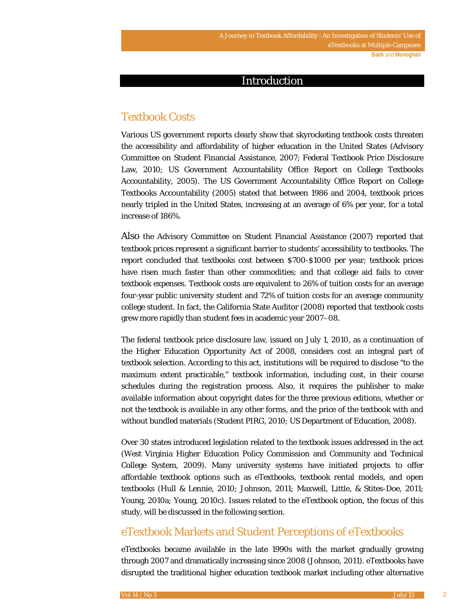# Introduction

# Textbook Costs

Various US government reports clearly show that skyrocketing textbook costs threaten the accessibility and affordability of higher education in the United States (Advisory Committee on Student Financial Assistance, 2007; Federal Textbook Price Disclosure Law, 2010; US Government Accountability Office Report on College Textbooks Accountability, 2005). The US Government Accountability Office Report on College Textbooks Accountability (2005) stated that between 1986 and 2004, textbook prices nearly tripled in the United States, increasing at an average of 6% per year, for a total increase of 186%.

Also the Advisory Committee on Student Financial Assistance (2007) reported that textbook prices represent a significant barrier to students' accessibility to textbooks. The report concluded that textbooks cost between \$700-\$1000 per year; textbook prices have risen much faster than other commodities; and that college aid fails to cover textbook expenses. Textbook costs are equivalent to 26% of tuition costs for an average four-year public university student and 72% of tuition costs for an average community college student. In fact, the California State Auditor (2008) reported that textbook costs grew more rapidly than student fees in academic year 2007–08.

The federal textbook price disclosure law, issued on July 1, 2010, as a continuation of the Higher Education Opportunity Act of 2008, considers cost an integral part of textbook selection. According to this act, institutions will be required to disclose "to the maximum extent practicable," textbook information, including cost, in their course schedules during the registration process. Also, it requires the publisher to make available information about copyright dates for the three previous editions, whether or not the textbook is available in any other forms, and the price of the textbook with and without bundled materials (Student PIRG, 2010; US Department of Education, 2008).

Over 30 states introduced legislation related to the textbook issues addressed in the act (West Virginia Higher Education Policy Commission and Community and Technical College System, 2009). Many university systems have initiated projects to offer affordable textbook options such as eTextbooks, textbook rental models, and open textbooks (Hull & Lennie, 2010; Johnson, 2011; Maxwell, Little, & Stites-Doe, 2011; Young, 2010a; Young, 2010c). Issues related to the eTextbook option, the focus of this study, will be discussed in the following section.

# eTextbook Markets and Student Perceptions of eTextbooks

eTextbooks became available in the late 1990s with the market gradually growing through 2007 and dramatically increasing since 2008 (Johnson, 2011). eTextbooks have disrupted the traditional higher education textbook market including other alternative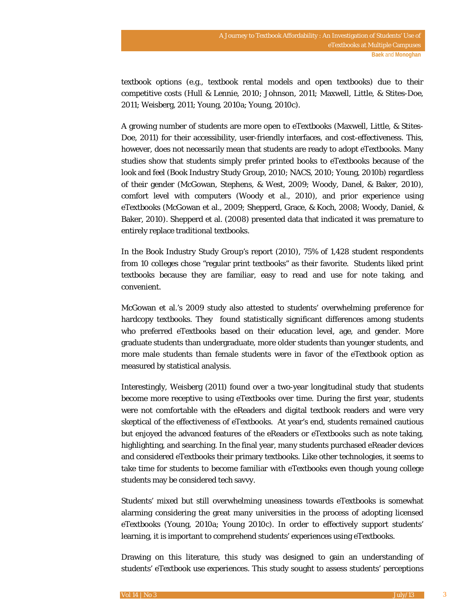textbook options (e.g., textbook rental models and open textbooks) due to their competitive costs (Hull & Lennie, 2010; Johnson, 2011; Maxwell, Little, & Stites-Doe, 2011; Weisberg, 2011; Young, 2010a; Young, 2010c).

A growing number of students are more open to eTextbooks (Maxwell, Little, & Stites-Doe, 2011) for their accessibility, user-friendly interfaces, and cost-effectiveness. This, however, does not necessarily mean that students are ready to adopt eTextbooks. Many studies show that students simply prefer printed books to eTextbooks because of the look and feel (Book Industry Study Group, 2010; NACS, 2010; Young, 2010b) regardless of their gender (McGowan, Stephens, & West, 2009; Woody, Danel, & Baker, 2010), comfort level with computers (Woody et al., 2010), and prior experience using eTextbooks (McGowan et al., 2009; Shepperd, Grace, & Koch, 2008; Woody, Daniel, & Baker, 2010). Shepperd et al. (2008) presented data that indicated it was premature to entirely replace traditional textbooks.

In the Book Industry Study Group's report (2010), 75% of 1,428 student respondents from 10 colleges chose "regular print textbooks" as their favorite. Students liked print textbooks because they are familiar, easy to read and use for note taking, and convenient.

McGowan et al.'s 2009 study also attested to students' overwhelming preference for hardcopy textbooks. They found statistically significant differences among students who preferred eTextbooks based on their education level, age, and gender. More graduate students than undergraduate, more older students than younger students, and more male students than female students were in favor of the eTextbook option as measured by statistical analysis.

Interestingly, Weisberg (2011) found over a two-year longitudinal study that students become more receptive to using eTextbooks over time. During the first year, students were not comfortable with the eReaders and digital textbook readers and were very skeptical of the effectiveness of eTextbooks. At year's end, students remained cautious but enjoyed the advanced features of the eReaders or eTextbooks such as note taking, highlighting, and searching. In the final year, many students purchased eReader devices and considered eTextbooks their primary textbooks. Like other technologies, it seems to take time for students to become familiar with eTextbooks even though young college students may be considered tech savvy.

Students' mixed but still overwhelming uneasiness towards eTextbooks is somewhat alarming considering the great many universities in the process of adopting licensed eTextbooks (Young, 2010a; Young 2010c). In order to effectively support students' learning, it is important to comprehend students' experiences using eTextbooks.

Drawing on this literature, this study was designed to gain an understanding of students' eTextbook use experiences. This study sought to assess students' perceptions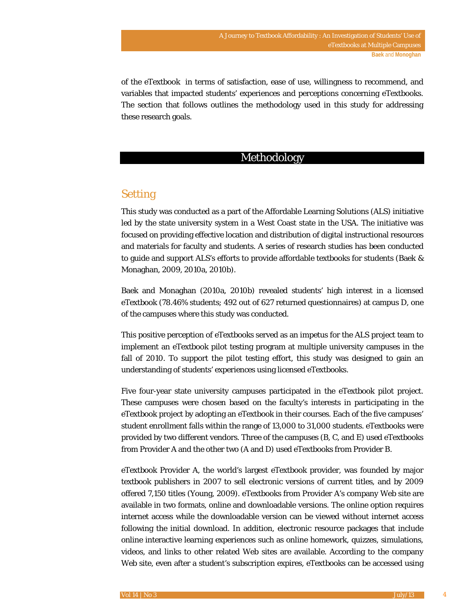of the eTextbook in terms of satisfaction, ease of use, willingness to recommend, and variables that impacted students' experiences and perceptions concerning eTextbooks. The section that follows outlines the methodology used in this study for addressing these research goals.

# Methodology

# Setting

This study was conducted as a part of the Affordable Learning Solutions (ALS) initiative led by the state university system in a West Coast state in the USA. The initiative was focused on providing effective location and distribution of digital instructional resources and materials for faculty and students. A series of research studies has been conducted to guide and support ALS's efforts to provide affordable textbooks for students (Baek & Monaghan, 2009, 2010a, 2010b).

Baek and Monaghan (2010a, 2010b) revealed students' high interest in a licensed eTextbook (78.46% students; 492 out of 627 returned questionnaires) at campus D, one of the campuses where this study was conducted.

This positive perception of eTextbooks served as an impetus for the ALS project team to implement an eTextbook pilot testing program at multiple university campuses in the fall of 2010. To support the pilot testing effort, this study was designed to gain an understanding of students' experiences using licensed eTextbooks.

Five four-year state university campuses participated in the eTextbook pilot project. These campuses were chosen based on the faculty's interests in participating in the eTextbook project by adopting an eTextbook in their courses. Each of the five campuses' student enrollment falls within the range of 13,000 to 31,000 students. eTextbooks were provided by two different vendors. Three of the campuses (B, C, and E) used eTextbooks from Provider A and the other two (A and D) used eTextbooks from Provider B.

eTextbook Provider A, the world's largest eTextbook provider, was founded by major textbook publishers in 2007 to sell electronic versions of current titles, and by 2009 offered 7,150 titles (Young, 2009). eTextbooks from Provider A's company Web site are available in two formats, online and downloadable versions. The online option requires internet access while the downloadable version can be viewed without internet access following the initial download. In addition, electronic resource packages that include online interactive learning experiences such as online homework, quizzes, simulations, videos, and links to other related Web sites are available. According to the company Web site, even after a student's subscription expires, eTextbooks can be accessed using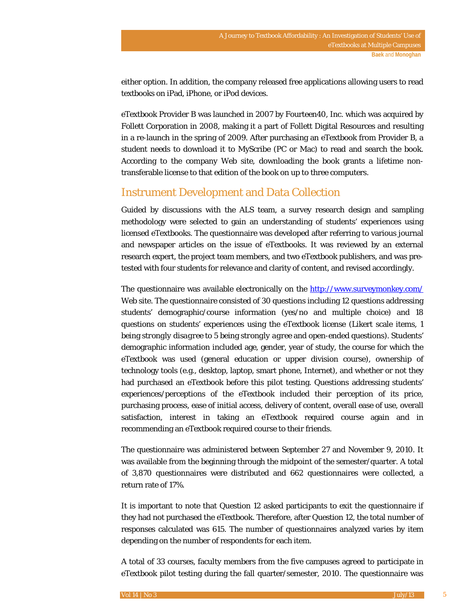either option. In addition, the company released free applications allowing users to read textbooks on iPad, iPhone, or iPod devices.

eTextbook Provider B was launched in 2007 by Fourteen40, Inc. which was acquired by Follett Corporation in 2008, making it a part of Follett Digital Resources and resulting in a re-launch in the spring of 2009. After purchasing an eTextbook from Provider B, a student needs to download it to MyScribe (PC or Mac) to read and search the book. According to the company Web site, downloading the book grants a lifetime nontransferable license to that edition of the book on up to three computers.

# Instrument Development and Data Collection

Guided by discussions with the ALS team, a survey research design and sampling methodology were selected to gain an understanding of students' experiences using licensed eTextbooks. The questionnaire was developed after referring to various journal and newspaper articles on the issue of eTextbooks. It was reviewed by an external research expert, the project team members, and two eTextbook publishers, and was pretested with four students for relevance and clarity of content, and revised accordingly.

The questionnaire was available electronically on the http://www.surveymonkey.com/ Web site. The questionnaire consisted of 30 questions including 12 questions addressing students' demographic/course information (yes/no and multiple choice) and 18 questions on students' experiences using the eTextbook license (Likert scale items, 1 being *strongly disagree* to 5 being *strongly agree* and open-ended questions). Students' demographic information included age, gender, year of study, the course for which the eTextbook was used (general education or upper division course), ownership of technology tools (e.g., desktop, laptop, smart phone, Internet), and whether or not they had purchased an eTextbook before this pilot testing. Questions addressing students' experiences/perceptions of the eTextbook included their perception of its price, purchasing process, ease of initial access, delivery of content, overall ease of use, overall satisfaction, interest in taking an eTextbook required course again and in recommending an eTextbook required course to their friends.

The questionnaire was administered between September 27 and November 9, 2010. It was available from the beginning through the midpoint of the semester/quarter. A total of 3,870 questionnaires were distributed and 662 questionnaires were collected, a return rate of 17%.

It is important to note that Question 12 asked participants to exit the questionnaire if they had not purchased the eTextbook. Therefore, after Question 12, the total number of responses calculated was 615. The number of questionnaires analyzed varies by item depending on the number of respondents for each item.

A total of 33 courses, faculty members from the five campuses agreed to participate in eTextbook pilot testing during the fall quarter/semester, 2010. The questionnaire was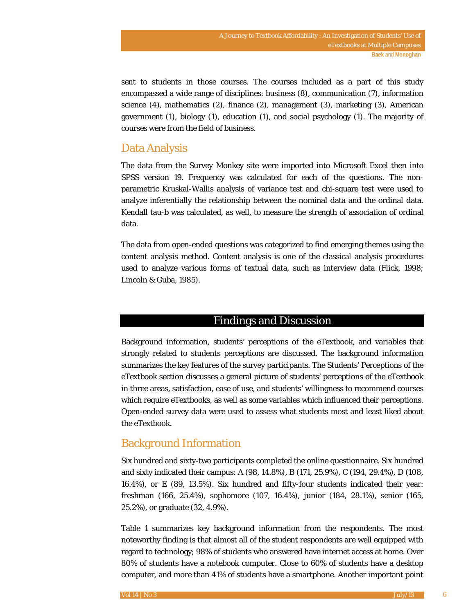sent to students in those courses. The courses included as a part of this study encompassed a wide range of disciplines: business (8), communication (7), information science (4), mathematics (2), finance (2), management (3), marketing (3), American government (1), biology (1), education (1), and social psychology (1). The majority of courses were from the field of business.

# Data Analysis

The data from the Survey Monkey site were imported into Microsoft Excel then into SPSS version 19. Frequency was calculated for each of the questions. The nonparametric Kruskal-Wallis analysis of variance test and chi-square test were used to analyze inferentially the relationship between the nominal data and the ordinal data. Kendall tau-b was calculated, as well, to measure the strength of association of ordinal data.

The data from open-ended questions was categorized to find emerging themes using the content analysis method. Content analysis is one of the classical analysis procedures used to analyze various forms of textual data, such as interview data (Flick, 1998; Lincoln & Guba, 1985).

### Findings and Discussion

Background information, students' perceptions of the eTextbook, and variables that strongly related to students perceptions are discussed. The background information summarizes the key features of the survey participants. The Students' Perceptions of the eTextbook section discusses a general picture of students' perceptions of the eTextbook in three areas, satisfaction, ease of use, and students' willingness to recommend courses which require eTextbooks, as well as some variables which influenced their perceptions. Open-ended survey data were used to assess what students most and least liked about the eTextbook.

# Background Information

Six hundred and sixty-two participants completed the online questionnaire. Six hundred and sixty indicated their campus: A (98, 14.8%), B (171, 25.9%), C (194, 29.4%), D (108, 16.4%), or E (89, 13.5%). Six hundred and fifty-four students indicated their year: freshman (166, 25.4%), sophomore (107, 16.4%), junior (184, 28.1%), senior (165, 25.2%), or graduate (32, 4.9%).

Table 1 summarizes key background information from the respondents. The most noteworthy finding is that almost all of the student respondents are well equipped with regard to technology; 98% of students who answered have internet access at home. Over 80% of students have a notebook computer. Close to 60% of students have a desktop computer, and more than 41% of students have a smartphone. Another important point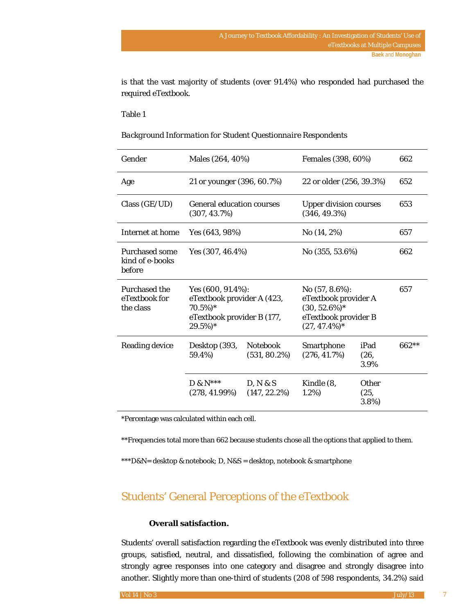is that the vast majority of students (over 91.4%) who responded had purchased the required eTextbook.

#### Table 1

| Gender                                             | Males (264, 40%)                                                                                              |                                    |                                                                                                          | Females (398, 60%)            |         |  |
|----------------------------------------------------|---------------------------------------------------------------------------------------------------------------|------------------------------------|----------------------------------------------------------------------------------------------------------|-------------------------------|---------|--|
| Age                                                | 21 or younger (396, 60.7%)                                                                                    |                                    |                                                                                                          | 22 or older (256, 39.3%)      |         |  |
| Class (GE/UD)                                      | <b>General education courses</b><br>$(307, 43.7\%)$                                                           |                                    | $(346, 49.3\%)$                                                                                          | <b>Upper division courses</b> |         |  |
| Internet at home                                   | Yes (643, 98%)                                                                                                |                                    | No (14, 2%)                                                                                              | 657                           |         |  |
| <b>Purchased some</b><br>kind of e-books<br>before | Yes $(307, 46.4\%)$                                                                                           |                                    | No $(355, 53.6\%)$                                                                                       | 662                           |         |  |
| <b>Purchased the</b><br>eTextbook for<br>the class | Yes $(600, 91.4\%)$ :<br>eTextbook provider A (423,<br>$70.5\%)*$<br>eTextbook provider B (177,<br>$29.5\%)*$ |                                    | No $(57, 8.6\%)$ :<br>eTextbook provider A<br>$(30, 52.6\%)*$<br>eTextbook provider B<br>$(27, 47.4\%)*$ |                               | 657     |  |
| <b>Reading device</b>                              | Desktop (393,<br>59.4%)                                                                                       | <b>Notebook</b><br>$(531, 80.2\%)$ | Smartphone<br>$(276, 41.7\%)$                                                                            | iPad<br>(26,<br>3.9%          | $662**$ |  |
|                                                    | $D$ & $N***$                                                                                                  | D, N & S                           | Kindle (8,                                                                                               | Other                         |         |  |

#### *Background Information for Student Questionnaire Respondents*

\*Percentage was calculated within each cell.

(278, 41.99%)

\*\*Frequencies total more than 662 because students chose all the options that applied to them.

(147, 22.2%)

1.2%)

(25, 3.8%)

\*\*\*D&N= desktop & notebook; D, N&S = desktop, notebook & smartphone

# Students' General Perceptions of the eTextbook

### **Overall satisfaction.**

Students' overall satisfaction regarding the eTextbook was evenly distributed into three groups, satisfied, neutral, and dissatisfied, following the combination of agree and strongly agree responses into one category and disagree and strongly disagree into another. Slightly more than one-third of students (208 of 598 respondents, 34.2%) said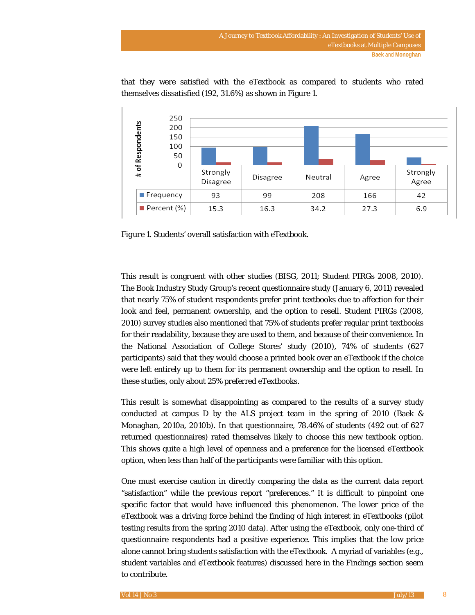

that they were satisfied with the eTextbook as compared to students who rated themselves dissatisfied (192, 31.6%) as shown in Figure 1.

*Figure 1.* Students' overall satisfaction with eTextbook.

This result is congruent with other studies (BISG, 2011; Student PIRGs 2008, 2010). The Book Industry Study Group's recent questionnaire study (January 6, 2011) revealed that nearly 75% of student respondents prefer print textbooks due to affection for their look and feel, permanent ownership, and the option to resell. Student PIRGs (2008, 2010) survey studies also mentioned that 75% of students prefer regular print textbooks for their readability, because they are used to them, and because of their convenience. In the National Association of College Stores' study (2010), 74% of students (627 participants) said that they would choose a printed book over an eTextbook if the choice were left entirely up to them for its permanent ownership and the option to resell. In these studies, only about 25% preferred eTextbooks.

This result is somewhat disappointing as compared to the results of a survey study conducted at campus D by the ALS project team in the spring of 2010 (Baek & Monaghan, 2010a, 2010b). In that questionnaire, 78.46% of students (492 out of 627 returned questionnaires) rated themselves likely to choose this new textbook option. This shows quite a high level of openness and a preference for the licensed eTextbook option, when less than half of the participants were familiar with this option.

One must exercise caution in directly comparing the data as the current data report "satisfaction" while the previous report "preferences." It is difficult to pinpoint one specific factor that would have influenced this phenomenon. The lower price of the eTextbook was a driving force behind the finding of high interest in eTextbooks (pilot testing results from the spring 2010 data). After using the eTextbook, only one-third of questionnaire respondents had a positive experience. This implies that the low price alone cannot bring students satisfaction with the eTextbook. A myriad of variables (e.g., student variables and eTextbook features) discussed here in the Findings section seem to contribute.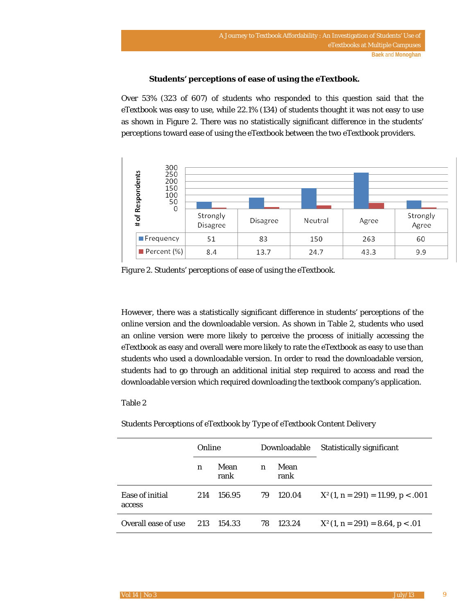### **Students' perceptions of ease of using the eTextbook.**

Over 53% (323 of 607) of students who responded to this question said that the eTextbook was easy to use, while 22.1% (134) of students thought it was not easy to use as shown in Figure 2. There was no statistically significant difference in the students' perceptions toward ease of using the eTextbook between the two eTextbook providers.



*Figure 2.* Students' perceptions of ease of using the eTextbook.

However, there was a statistically significant difference in students' perceptions of the online version and the downloadable version. As shown in Table 2, students who used an online version were more likely to perceive the process of initially accessing the eTextbook as easy and overall were more likely to rate the eTextbook as easy to use than students who used a downloadable version. In order to read the downloadable version, students had to go through an additional initial step required to access and read the downloadable version which required downloading the textbook company's application.

### Table 2

*Students Perceptions of eTextbook by Type of eTextbook Content Delivery*

|                           | Online           |              |                  | Downloadable | <b>Statistically significant</b>    |
|---------------------------|------------------|--------------|------------------|--------------|-------------------------------------|
|                           | $\boldsymbol{n}$ | Mean<br>rank | $\boldsymbol{n}$ | Mean<br>rank |                                     |
| Ease of initial<br>access | 214              | 156.95       | 79               | 120.04       | $X^2(1, n = 291) = 11.99, p < .001$ |
| Overall ease of use       | 213              | 154.33       | 78               | 123.24       | $X^2(1, n = 291) = 8.64, p < .01$   |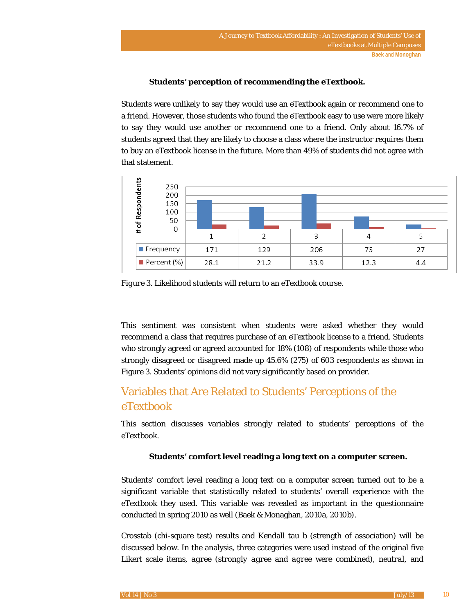### **Students' perception of recommending the eTextbook.**

Students were unlikely to say they would use an eTextbook again or recommend one to a friend. However, those students who found the eTextbook easy to use were more likely to say they would use another or recommend one to a friend. Only about 16.7% of students agreed that they are likely to choose a class where the instructor requires them to buy an eTextbook license in the future. More than 49% of students did not agree with that statement.



*Figure 3.* Likelihood students will return to an eTextbook course.

This sentiment was consistent when students were asked whether they would recommend a class that requires purchase of an eTextbook license to a friend. Students who strongly agreed or agreed accounted for 18% (108) of respondents while those who strongly disagreed or disagreed made up 45.6% (275) of 603 respondents as shown in Figure 3. Students' opinions did not vary significantly based on provider.

# Variables that Are Related to Students' Perceptions of the eTextbook

This section discusses variables strongly related to students' perceptions of the eTextbook.

### **Students' comfort level reading a long text on a computer screen.**

Students' comfort level reading a long text on a computer screen turned out to be a significant variable that statistically related to students' overall experience with the eTextbook they used. This variable was revealed as important in the questionnaire conducted in spring 2010 as well (Baek & Monaghan, 2010a, 2010b).

Crosstab (chi-square test) results and Kendall tau b (strength of association) will be discussed below. In the analysis, three categories were used instead of the original five Likert scale items, *agree* (*strongly agree* and *agree* were combined), *neutral*, and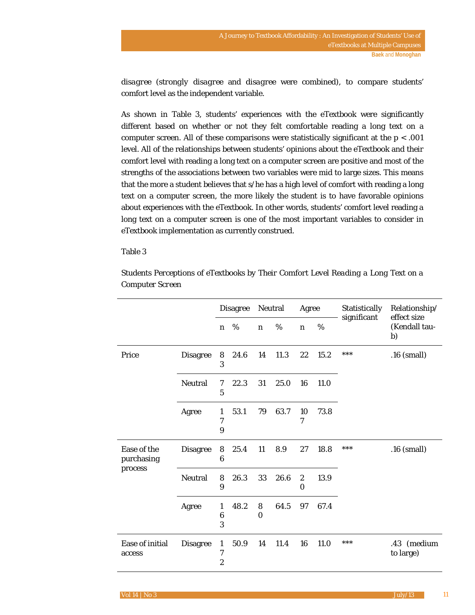*disagree* (*strongly disagree* and *disagree* were combined), to compare students' comfort level as the independent variable.

As shown in Table 3, students' experiences with the eTextbook were significantly different based on whether or not they felt comfortable reading a long text on a computer screen. All of these comparisons were statistically significant at the *p* < .001 level. All of the relationships between students' opinions about the eTextbook and their comfort level with reading a long text on a computer screen are positive and most of the strengths of the associations between two variables were mid to large sizes. This means that the more a student believes that s/he has a high level of comfort with reading a long text on a computer screen, the more likely the student is to have favorable opinions about experiences with the eTextbook. In other words, students' comfort level reading a long text on a computer screen is one of the most important variables to consider in eTextbook implementation as currently construed.

### Table 3

|                                      |                 |                                                    | <b>Disagree</b> | Neutral          |      | Agree                 |      | Statistically<br>significant | Relationship/<br>effect size |  |
|--------------------------------------|-----------------|----------------------------------------------------|-----------------|------------------|------|-----------------------|------|------------------------------|------------------------------|--|
|                                      |                 | $\boldsymbol{n}$                                   | %               | $\boldsymbol{n}$ | %    | $\boldsymbol{n}$      | %    |                              | (Kendall tau-<br>b)          |  |
| Price                                | <b>Disagree</b> | 8<br>3                                             | 24.6            | 14               | 11.3 | 22                    | 15.2 | ***                          | .16 (small)                  |  |
|                                      | <b>Neutral</b>  | 7<br>$\overline{5}$                                | 22.3            | 31               | 25.0 | 16                    | 11.0 |                              |                              |  |
|                                      | Agree           | 1<br>7<br>9                                        | 53.1            | 79               | 63.7 | 10<br>7               | 73.8 |                              |                              |  |
| Ease of the<br>purchasing<br>process | <b>Disagree</b> | 8<br>6                                             | 25.4            | 11               | 8.9  | 27                    | 18.8 | ***                          | $.16$ (small)                |  |
|                                      | Neutral         | 8<br>9                                             | 26.3            | 33               | 26.6 | $\boldsymbol{2}$<br>0 | 13.9 |                              |                              |  |
|                                      | Agree           | 1<br>$\boldsymbol{6}$<br>3                         | 48.2            | 8<br>$\Omega$    | 64.5 | 97                    | 67.4 |                              |                              |  |
| Ease of initial<br>access            | <b>Disagree</b> | $\mathbf{1}$<br>$\boldsymbol{7}$<br>$\overline{c}$ | 50.9            | 14               | 11.4 | 16                    | 11.0 | ***                          | .43 (medium<br>to large)     |  |

*Students Perceptions of eTextbooks by Their Comfort Level Reading a Long Text on a Computer Screen*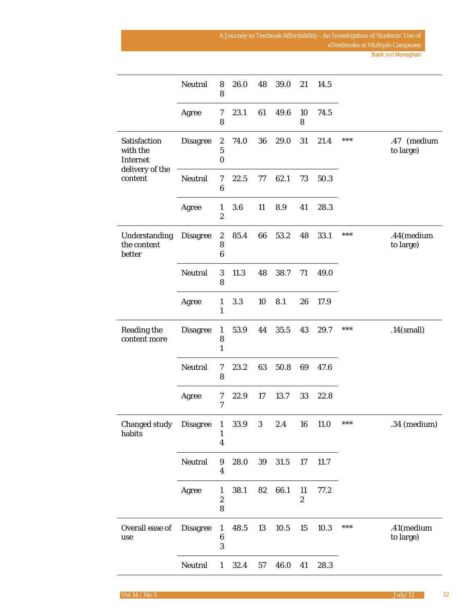|                                        | Neutral         | $\bf 8$<br>8                                    | 26.0   | 48 | 39.0        | 21                     | 14.5 |     |                          |
|----------------------------------------|-----------------|-------------------------------------------------|--------|----|-------------|------------------------|------|-----|--------------------------|
|                                        | Agree           | 7<br>8                                          | 23.1   | 61 | 49.6        | 10<br>8                | 74.5 |     |                          |
| Satisfaction<br>with the<br>Internet   | <b>Disagree</b> | $\boldsymbol{2}$<br>$\bf 5$<br>$\boldsymbol{0}$ | 74.0   | 36 | 29.0        | 31                     | 21.4 | *** | .47 (medium<br>to large) |
| delivery of the<br>content             | <b>Neutral</b>  | 7<br>$\bf 6$                                    | 22.5   | 77 | 62.1        | 73                     | 50.3 |     |                          |
|                                        | Agree           | $\mathbf{1}$<br>$\boldsymbol{2}$                | 3.6    | 11 | 8.9         | 41                     | 28.3 |     |                          |
| Understanding<br>the content<br>better | <b>Disagree</b> | $\boldsymbol{2}$<br>8<br>$\boldsymbol{6}$       | 85.4   | 66 | 53.2        | 48                     | 33.1 | *** | .44(medium<br>to large)  |
|                                        | Neutral         | $\sqrt{3}$<br>8                                 | 11.3   | 48 | 38.7        | 71                     | 49.0 |     |                          |
|                                        | Agree           | $\mathbf{1}$<br>$\mathbf{1}$                    | 3.3    | 10 | 8.1         | 26                     | 17.9 |     |                          |
| <b>Reading the</b><br>content more     | <b>Disagree</b> | $\mathbf{1}$<br>8<br>$\mathbf{1}$               | 53.9   | 44 | 35.5        | 43                     | 29.7 | *** | $.14$ (small)            |
|                                        | Neutral         | 7<br>8                                          | 23.2   | 63 | 50.8        | 69                     | 47.6 |     |                          |
|                                        | Agree           | 7<br>7                                          | 22.9   | 17 | 13.7        | 33                     | 22.8 |     |                          |
| Changed study Disagree 1<br>habits     |                 | $\mathbf{1}$<br>$\boldsymbol{4}$                | 33.9 3 |    | 2.4 16 11.0 |                        |      | *** | .34 (medium)             |
|                                        | Neutral         | $\boldsymbol{9}$<br>$\boldsymbol{4}$            | 28.0   | 39 | 31.5        | 17                     | 11.7 |     |                          |
|                                        | Agree           | 1<br>$\boldsymbol{2}$<br>8                      | 38.1   | 82 | 66.1        | 11<br>$\boldsymbol{2}$ | 77.2 |     |                          |
| Overall ease of<br>use                 | <b>Disagree</b> | $\mathbf{1}$<br>$\bf 6$<br>3                    | 48.5   | 13 | 10.5        | 15                     | 10.3 | *** | .41(medium<br>to large)  |
|                                        | Neutral         | $\mathbf{1}$                                    | 32.4   | 57 | 46.0        | 41                     | 28.3 |     |                          |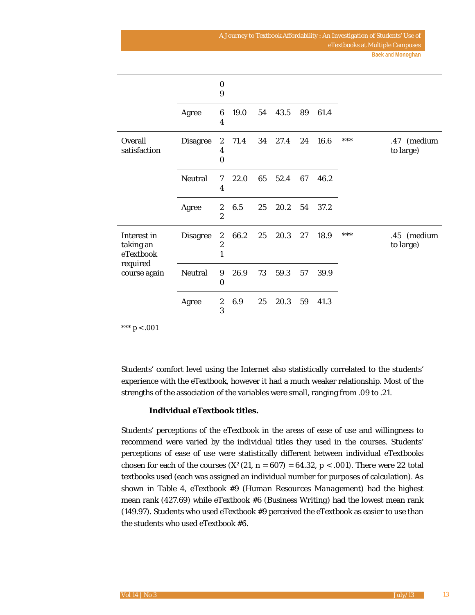|                                       |                 | $\bf{0}$<br>9                                        |      |    |      |    |      |       |                          |
|---------------------------------------|-----------------|------------------------------------------------------|------|----|------|----|------|-------|--------------------------|
|                                       | Agree           | $6\phantom{1}$<br>4                                  | 19.0 | 54 | 43.5 | 89 | 61.4 |       |                          |
| Overall<br>satisfaction               | <b>Disagree</b> | $\boldsymbol{2}$<br>4<br>$\bf{0}$                    | 71.4 | 34 | 27.4 | 24 | 16.6 | ***   | .47 (medium<br>to large) |
|                                       | <b>Neutral</b>  | 7<br>4                                               | 22.0 | 65 | 52.4 | 67 | 46.2 |       |                          |
|                                       | Agree           | $\boldsymbol{2}$<br>$\overline{2}$                   | 6.5  | 25 | 20.2 | 54 | 37.2 |       |                          |
| Interest in<br>taking an<br>eTextbook | <b>Disagree</b> | $\boldsymbol{2}$<br>$\boldsymbol{2}$<br>$\mathbf{1}$ | 66.2 | 25 | 20.3 | 27 | 18.9 | $***$ | .45 (medium<br>to large) |
| required<br>course again              | Neutral         | 9<br>$\bf{0}$                                        | 26.9 | 73 | 59.3 | 57 | 39.9 |       |                          |
|                                       | Agree           | $\boldsymbol{2}$<br>3                                | 6.9  | 25 | 20.3 | 59 | 41.3 |       |                          |

\*\*\* *p* < .001

Students' comfort level using the Internet also statistically correlated to the students' experience with the eTextbook, however it had a much weaker relationship. Most of the strengths of the association of the variables were small, ranging from .09 to .21.

### **Individual eTextbook titles.**

Students' perceptions of the eTextbook in the areas of ease of use and willingness to recommend were varied by the individual titles they used in the courses. Students' perceptions of ease of use were statistically different between individual eTextbooks chosen for each of the courses  $(X<sup>2</sup>(21, n = 607) = 64.32, p < .001)$ . There were 22 total textbooks used (each was assigned an individual number for purposes of calculation). As shown in Table 4, eTextbook #9 (*Human Resources Management*) had the highest mean rank (427.69) while eTextbook #6 (*Business Writing*) had the lowest mean rank (149.97). Students who used eTextbook #9 perceived the eTextbook as easier to use than the students who used eTextbook #6.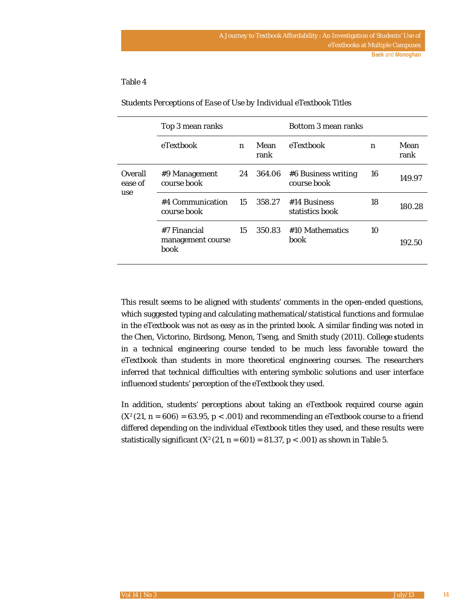### Table 4

|                    | Top 3 mean ranks                          |                  |              | Bottom 3 mean ranks                |    |              |  |  |
|--------------------|-------------------------------------------|------------------|--------------|------------------------------------|----|--------------|--|--|
|                    | eTextbook                                 | $\boldsymbol{n}$ | Mean<br>rank | eTextbook                          | n  | Mean<br>rank |  |  |
| Overall<br>ease of | #9 Management<br>course book              | 24               | 364.06       | #6 Business writing<br>course book | 16 | 149.97       |  |  |
| use                | #4 Communication<br>course book           | 15               | 358.27       | #14 Business<br>statistics book    | 18 | 180.28       |  |  |
|                    | #7 Financial<br>management course<br>book | 15               | 350.83       | #10 Mathematics<br>book            | 10 | 192.50       |  |  |

*Students Perceptions of Ease of Use by Individual eTextbook Titles* 

This result seems to be aligned with students' comments in the open-ended questions, which suggested typing and calculating mathematical/statistical functions and formulae in the eTextbook was not as easy as in the printed book. A similar finding was noted in the Chen, Victorino, Birdsong, Menon, Tseng, and Smith study (2011). College **s**tudents in a technical engineering course tended to be much less favorable toward the eTextbook than students in more theoretical engineering courses. The researchers inferred that technical difficulties with entering symbolic solutions and user interface influenced students' perception of the eTextbook they used.

In addition, students' perceptions about taking an eTextbook required course again  $(X<sup>2</sup>(21, n = 606) = 63.95, p < .001)$  and recommending an eTextbook course to a friend differed depending on the individual eTextbook titles they used, and these results were statistically significant  $(X<sup>2</sup>(21, n = 601) = 81.37, p < .001)$  as shown in Table 5.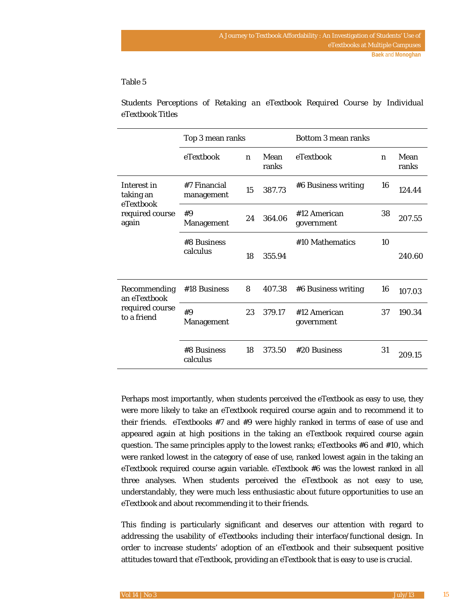### Table 5

*Students Perceptions of Retaking an eTextbook Required Course by Individual eTextbook Titles* 

|                                                                   | Top 3 mean ranks              |                  |               | Bottom 3 mean ranks        |                  |               |
|-------------------------------------------------------------------|-------------------------------|------------------|---------------|----------------------------|------------------|---------------|
|                                                                   | eTextbook                     | $\boldsymbol{n}$ | Mean<br>ranks | eTextbook                  | $\boldsymbol{n}$ | Mean<br>ranks |
| Interest in<br>taking an<br>eTextbook<br>required course<br>again | #7 Financial<br>management    | 15               | 387.73        | #6 Business writing        | 16               | 124.44        |
|                                                                   | #9<br><b>Management</b>       | 364.06<br>24     |               | #12 American<br>government | 38               | 207.55        |
|                                                                   | #8 Business<br>calculus<br>18 |                  | 355.94        | #10 Mathematics            | 10               | 240.60        |
| Recommending<br>an eTextbook                                      | #18 Business                  | 8                | 407.38        | #6 Business writing        | 16               | 107.03        |
| required course<br>to a friend                                    | #9<br><b>Management</b>       | 23               | 379.17        | #12 American<br>government | 37               | 190.34        |
|                                                                   | #8 Business<br>calculus       | 18               | 373.50        | #20 Business               | 31               | 209.15        |

Perhaps most importantly, when students perceived the eTextbook as easy to use, they were more likely to take an eTextbook required course again and to recommend it to their friends. eTextbooks #7 and #9 were highly ranked in terms of ease of use and appeared again at high positions in the taking an eTextbook required course again question. The same principles apply to the lowest ranks; eTextbooks #6 and #10, which were ranked lowest in the category of ease of use, ranked lowest again in the taking an eTextbook required course again variable. eTextbook #6 was the lowest ranked in all three analyses. When students perceived the eTextbook as not easy to use, understandably, they were much less enthusiastic about future opportunities to use an eTextbook and about recommending it to their friends.

This finding is particularly significant and deserves our attention with regard to addressing the usability of eTextbooks including their interface/functional design. In order to increase students' adoption of an eTextbook and their subsequent positive attitudes toward that eTextbook, providing an eTextbook that is easy to use is crucial.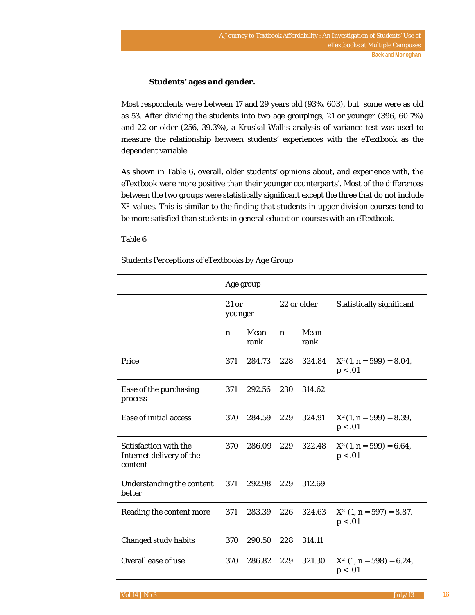### **Students' ages and gender.**

Most respondents were between 17 and 29 years old (93%, 603), but some were as old as 53. After dividing the students into two age groupings, 21 or younger (396, 60.7%) and 22 or older (256, 39.3%), a Kruskal-Wallis analysis of variance test was used to measure the relationship between students' experiences with the eTextbook as the dependent variable.

As shown in Table 6, overall, older students' opinions about, and experience with, the eTextbook were more positive than their younger counterparts'. Most of the differences between the two groups were statistically significant except the three that do not include *X²* values. This is similar to the finding that students in upper division courses tend to be more satisfied than students in general education courses with an eTextbook.

### Table 6

### *Students Perceptions of eTextbooks by Age Group*

|                                                              |                    | Age group    |                  |              |                                            |
|--------------------------------------------------------------|--------------------|--------------|------------------|--------------|--------------------------------------------|
|                                                              | $21$ or<br>younger |              |                  | 22 or older  | Statistically significant                  |
|                                                              | n                  | Mean<br>rank | $\boldsymbol{n}$ | Mean<br>rank |                                            |
| Price                                                        | 371                | 284.73       | 228              | 324.84       | $X^2(1, n = 599) = 8.04,$<br>p < .01       |
| Ease of the purchasing<br>process                            | 371                | 292.56       | 230              | 314.62       |                                            |
| Ease of initial access                                       | 370                | 284.59       | 229              | 324.91       | $X^2(1, n = 599) = 8.39,$<br>p < .01       |
| Satisfaction with the<br>Internet delivery of the<br>content | 370                | 286.09       | 229              | 322.48       | $X^2(1, n = 599) = 6.64,$<br>p < .01       |
| Understanding the content<br>better                          | 371                | 292.98       | 229              | 312.69       |                                            |
| Reading the content more                                     | 371                | 283.39       | 226              | 324.63       | $X^2$ (1, n = 597) = 8.87,<br>p < .01      |
| <b>Changed study habits</b>                                  | 370                | 290.50       | 228              | 314.11       |                                            |
| Overall ease of use                                          | 370                | 286.82       | 229              | 321.30       | $X^{\circ}(1, n = 598) = 6.24,$<br>p < .01 |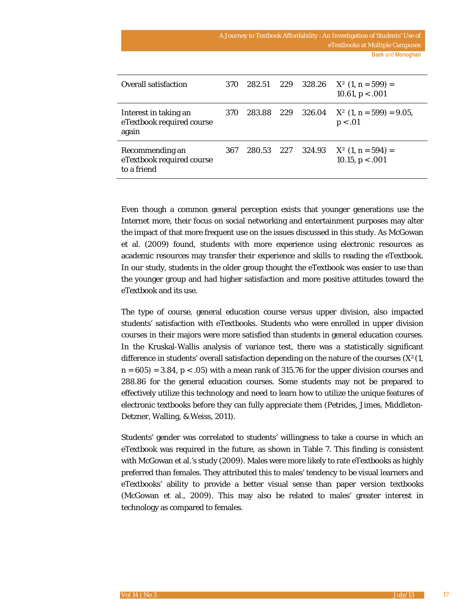| Overall satisfaction                                        | 370 | 282.51 | 229 | 328.26 | $X^2(1, n=599) =$<br>10.61, $p < .001$          |
|-------------------------------------------------------------|-----|--------|-----|--------|-------------------------------------------------|
| Interest in taking an<br>eTextbook required course<br>again | 370 | 283.88 | 229 | 326.04 | $X^2$ (1, n = 599) = 9.05,<br>p < .01           |
| Recommending an<br>eTextbook required course<br>to a friend | 367 | 280.53 | 227 | 324.93 | $X^{\infty}(1, n = 594) =$<br>10.15, $p < .001$ |

Even though a common general perception exists that younger generations use the Internet more, their focus on social networking and entertainment purposes may alter the impact of that more frequent use on the issues discussed in this study. As McGowan et al. (2009) found, students with more experience using electronic resources as academic resources may transfer their experience and skills to reading the eTextbook. In our study, students in the older group thought the eTextbook was easier to use than the younger group and had higher satisfaction and more positive attitudes toward the eTextbook and its use.

The type of course, general education course versus upper division, also impacted students' satisfaction with eTextbooks. Students who were enrolled in upper division courses in their majors were more satisfied than students in general education courses. In the Kruskal-Wallis analysis of variance test, there was a statistically significant difference in students' overall satisfaction depending on the nature of the courses (*X²*(1,  $n = 605$  = 3.84,  $p < .05$ ) with a mean rank of 315.76 for the upper division courses and 288.86 for the general education courses. Some students may not be prepared to effectively utilize this technology and need to learn how to utilize the unique features of electronic textbooks before they can fully appreciate them (Petrides, Jimes, Middleton-Detzner, Walling, & Weiss, 2011).

Students' gender was correlated to students' willingness to take a course in which an eTextbook was required in the future, as shown in Table 7. This finding is consistent with McGowan et al.'s study (2009). Males were more likely to rate eTextbooks as highly preferred than females. They attributed this to males' tendency to be visual learners and eTextbooks' ability to provide a better visual sense than paper version textbooks (McGowan et al., 2009). This may also be related to males' greater interest in technology as compared to females.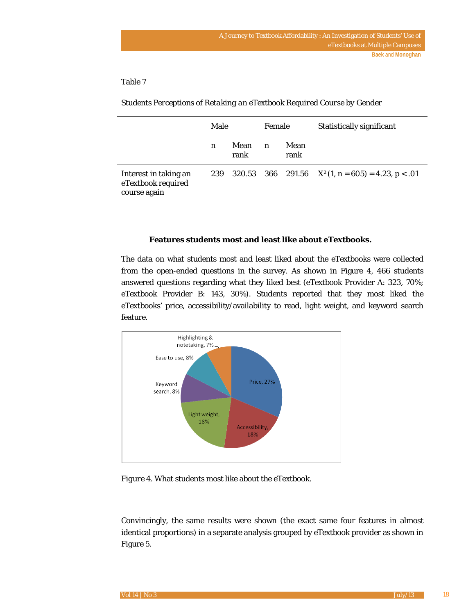### Table 7

|                                                             | Male |              | Female           |              | Statistically significant                    |  |
|-------------------------------------------------------------|------|--------------|------------------|--------------|----------------------------------------------|--|
|                                                             | n    | Mean<br>rank | $\boldsymbol{n}$ | Mean<br>rank |                                              |  |
| Interest in taking an<br>eTextbook required<br>course again | 239  | 320.53       |                  |              | 366 291.56 $X^2(1, n = 605) = 4.23, p < .01$ |  |

*Students Perceptions of Retaking an eTextbook Required Course by Gender*

### **Features students most and least like about eTextbooks.**

The data on what students most and least liked about the eTextbooks were collected from the open-ended questions in the survey. As shown in Figure 4, 466 students answered questions regarding what they liked best (eTextbook Provider A: 323, 70%; eTextbook Provider B: 143, 30%). Students reported that they most liked the eTextbooks' price, accessibility/availability to read, light weight, and keyword search feature.



*Figure 4.* What students most like about the eTextbook.

Convincingly, the same results were shown (the exact same four features in almost identical proportions) in a separate analysis grouped by eTextbook provider as shown in Figure 5.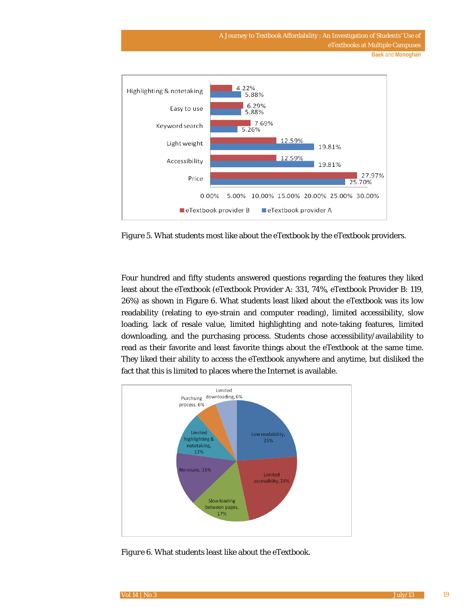A Journey to Textbook Affordability : An Investigation of Students' Use of eTextbooks at Multiple Campuses **Baek** and **Monoghan**



*Figure 5.* What students most like about the eTextbook by the eTextbook providers.

Four hundred and fifty students answered questions regarding the features they liked least about the eTextbook (eTextbook Provider A: 331, 74%, eTextbook Provider B: 119, 26%) as shown in Figure 6. What students least liked about the eTextbook was its low readability (relating to eye-strain and computer reading), limited accessibility, slow loading, lack of resale value, limited highlighting and note-taking features, limited downloading, and the purchasing process. Students chose accessibility/availability to read as their favorite and least favorite things about the eTextbook at the same time. They liked their ability to access the eTextbook anywhere and anytime, but disliked the fact that this is limited to places where the Internet is available.



*Figure 6.* What students least like about the eTextbook.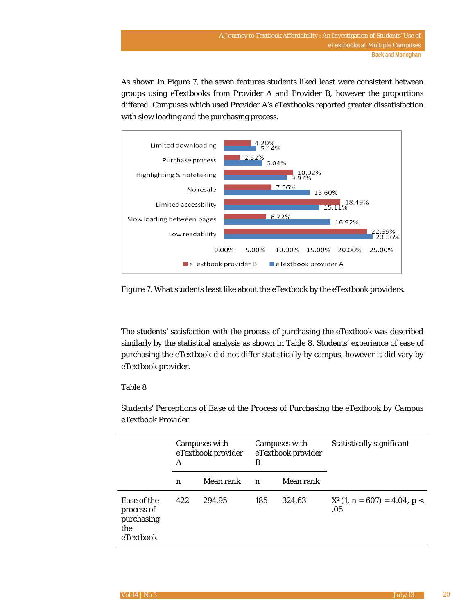As shown in Figure 7, the seven features students liked least were consistent between groups using eTextbooks from Provider A and Provider B, however the proportions differed. Campuses which used Provider A's eTextbooks reported greater dissatisfaction with slow loading and the purchasing process.



*Figure 7.* What students least like about the eTextbook by the eTextbook providers.

The students' satisfaction with the process of purchasing the eTextbook was described similarly by the statistical analysis as shown in Table 8. Students' experience of ease of purchasing the eTextbook did not differ statistically by campus, however it did vary by eTextbook provider.

### Table 8

|                                                             | A   | Campuses with<br>eTextbook provider | В                | Campuses with<br>eTextbook provider | Statistically significant            |  |
|-------------------------------------------------------------|-----|-------------------------------------|------------------|-------------------------------------|--------------------------------------|--|
|                                                             | n   | Mean rank                           | $\boldsymbol{n}$ | Mean rank                           |                                      |  |
| Ease of the<br>process of<br>purchasing<br>the<br>eTextbook | 422 | 294.95                              | 185              | 324.63                              | $X^2(1, n = 607) = 4.04, p <$<br>.05 |  |

*Students' Perceptions of Ease of the Process of Purchasing the eTextbook by Campus eTextbook Provider*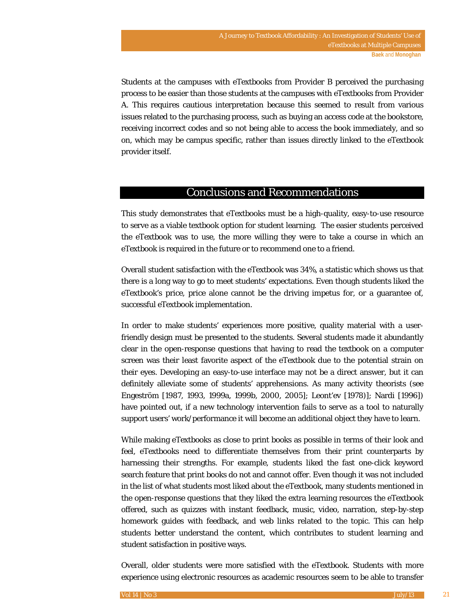Students at the campuses with eTextbooks from Provider B perceived the purchasing process to be easier than those students at the campuses with eTextbooks from Provider A. This requires cautious interpretation because this seemed to result from various issues related to the purchasing process, such as buying an access code at the bookstore, receiving incorrect codes and so not being able to access the book immediately, and so on, which may be campus specific, rather than issues directly linked to the eTextbook provider itself.

### Conclusions and Recommendations

This study demonstrates that eTextbooks must be a high-quality, easy-to-use resource to serve as a viable textbook option for student learning. The easier students perceived the eTextbook was to use, the more willing they were to take a course in which an eTextbook is required in the future or to recommend one to a friend.

Overall student satisfaction with the eTextbook was 34%, a statistic which shows us that there is a long way to go to meet students' expectations. Even though students liked the eTextbook's price, price alone cannot be the driving impetus for, or a guarantee of, successful eTextbook implementation.

In order to make students' experiences more positive, quality material with a userfriendly design must be presented to the students. Several students made it abundantly clear in the open-response questions that having to read the textbook on a computer screen was their least favorite aspect of the eTextbook due to the potential strain on their eyes. Developing an easy-to-use interface may not be a direct answer, but it can definitely alleviate some of students' apprehensions. As many activity theorists (see Engeström [1987, 1993, 1999a, 1999b, 2000, 2005]; Leont'ev [1978)]; Nardi [1996]) have pointed out, if a new technology intervention fails to serve as a tool to naturally support users' work/performance it will become an additional object they have to learn.

While making eTextbooks as close to print books as possible in terms of their look and feel, eTextbooks need to differentiate themselves from their print counterparts by harnessing their strengths. For example, students liked the fast one-click keyword search feature that print books do not and cannot offer. Even though it was not included in the list of what students most liked about the eTextbook, many students mentioned in the open-response questions that they liked the extra learning resources the eTextbook offered, such as quizzes with instant feedback, music, video, narration, step-by-step homework guides with feedback, and web links related to the topic. This can help students better understand the content, which contributes to student learning and student satisfaction in positive ways.

Overall, older students were more satisfied with the eTextbook. Students with more experience using electronic resources as academic resources seem to be able to transfer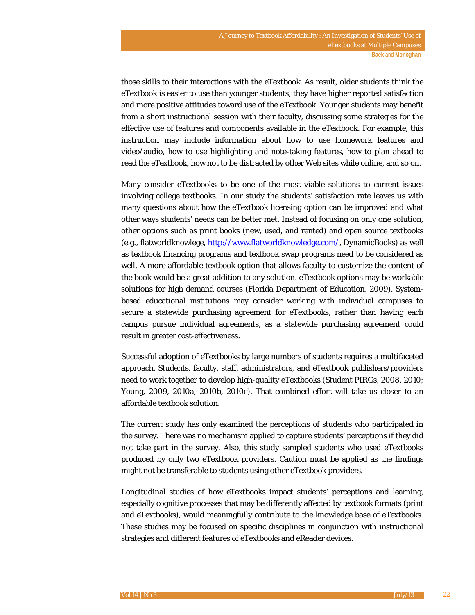those skills to their interactions with the eTextbook. As result, older students think the eTextbook is easier to use than younger students; they have higher reported satisfaction and more positive attitudes toward use of the eTextbook. Younger students may benefit from a short instructional session with their faculty, discussing some strategies for the effective use of features and components available in the eTextbook. For example, this instruction may include information about how to use homework features and video/audio, how to use highlighting and note-taking features, how to plan ahead to read the eTextbook, how not to be distracted by other Web sites while online, and so on.

Many consider eTextbooks to be one of the most viable solutions to current issues involving college textbooks. In our study the students' satisfaction rate leaves us with many questions about how the eTextbook licensing option can be improved and what other ways students' needs can be better met. Instead of focusing on only one solution, other options such as print books (new, used, and rented) and open source textbooks (e.g., flatworldknowlege, http://www.flatworldknowledge.com/, DynamicBooks) as well as textbook financing programs and textbook swap programs need to be considered as well. A more affordable textbook option that allows faculty to customize the content of the book would be a great addition to any solution. eTextbook options may be workable solutions for high demand courses (Florida Department of Education, 2009). Systembased educational institutions may consider working with individual campuses to secure a statewide purchasing agreement for eTextbooks, rather than having each campus pursue individual agreements, as a statewide purchasing agreement could result in greater cost-effectiveness.

Successful adoption of eTextbooks by large numbers of students requires a multifaceted approach. Students, faculty, staff, administrators, and eTextbook publishers/providers need to work together to develop high-quality eTextbooks (Student PIRGs, 2008, 2010; Young, 2009, 2010a, 2010b, 2010c). That combined effort will take us closer to an affordable textbook solution.

The current study has only examined the perceptions of students who participated in the survey. There was no mechanism applied to capture students' perceptions if they did not take part in the survey. Also, this study sampled students who used eTextbooks produced by only two eTextbook providers. Caution must be applied as the findings might not be transferable to students using other eTextbook providers.

Longitudinal studies of how eTextbooks impact students' perceptions and learning, especially cognitive processes that may be differently affected by textbook formats (print and eTextbooks), would meaningfully contribute to the knowledge base of eTextbooks. These studies may be focused on specific disciplines in conjunction with instructional strategies and different features of eTextbooks and eReader devices.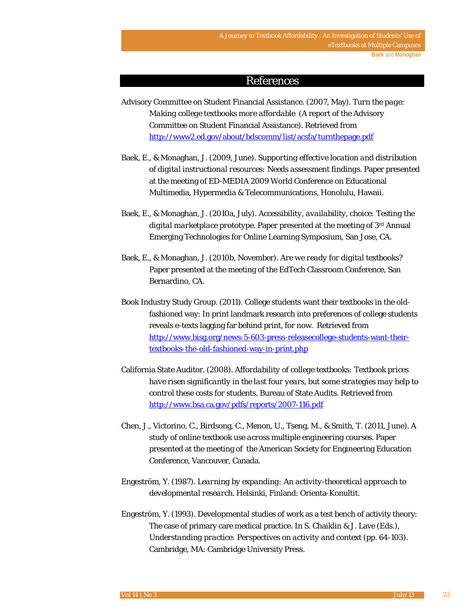### References

- Advisory Committee on Student Financial Assistance. (2007, May). *Turn the page: Making college textbooks more affordable* (A report of the Advisory Committee on Student Financial Assistance). Retrieved from http://www2.ed.gov/about/bdscomm/list/acsfa/turnthepage.pdf
- Baek, E., & Monaghan, J. (2009, June). *Supporting effective location and distribution of digital instructional resources: Needs assessment findings*. Paper presented at the meeting of ED-MEDIA 2009 World Conference on Educational Multimedia, Hypermedia & Telecommunications, Honolulu, Hawaii.
- Baek, E., & Monaghan, J. (2010a, July). *Accessibility, availability, choice: Testing the digital marketplace prototype*. Paper presented at the meeting of 3rd Annual Emerging Technologies for Online Learning Symposium, San Jose, CA.
- Baek, E., & Monaghan, J. (2010b, November). *Are we ready for digital textbooks?* Paper presented at the meeting of the EdTech Classroom Conference, San Bernardino, CA.
- Book Industry Study Group. (2011). College students want their textbooks in the oldfashioned way: In print landmark research into preferences of college students reveals e-texts lagging far behind print, for now. Retrieved from http://www.bisg.org/news-5-603-press-releasecollege-students-want-theirtextbooks-the-old-fashioned-way-in-print.php
- California State Auditor. (2008). *Affordability of college textbooks: Textbook prices have risen significantly in the last four years, but some strategies may help to control these costs for students*. Bureau of State Audits. Retrieved from http://www.bsa.ca.gov/pdfs/reports/2007-116.pdf
- Chen, J., Victorino, C., Birdsong, C., Menon, U., Tseng, M., & Smith, T. (2011, June). *A study of online textbook use across multiple engineering courses*. Paper presented at the meeting of the American Society for Engineering Education Conference, Vancouver, Canada.
- Engeström, Y. (1987). *Learning by expanding: An activity-theoretical approach to developmental research*. Helsinki, Finland: Orienta-Konultit.
- Engeström, Y. (1993). Developmental studies of work as a test bench of activity theory: The case of primary care medical practice. In S. Chaiklin & J. Lave (Eds.), *Understanding practice: Perspectives on activity and context* (pp. 64-103). Cambridge, MA: Cambridge University Press.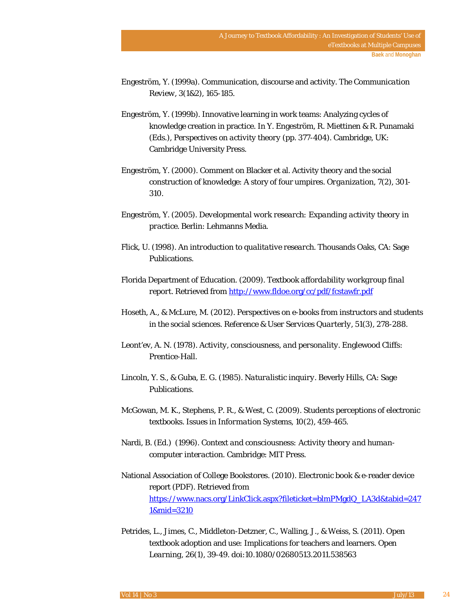- Engeström, Y. (1999a). Communication, discourse and activity. *The Communication Review, 3*(1&2), 165-185.
- Engeström, Y. (1999b). Innovative learning in work teams: Analyzing cycles of knowledge creation in practice. In Y. Engeström, R. Miettinen & R. Punamaki (Eds.), *Perspectives on activity theory* (pp. 377-404). Cambridge, UK: Cambridge University Press.
- Engeström, Y. (2000). Comment on Blacker et al. Activity theory and the social construction of knowledge: A story of four umpires. *Organization, 7*(2), 301- 310.
- Engeström, Y. (2005). *Developmental work research: Expanding activity theory in practice*. Berlin: Lehmanns Media.
- Flick, U. (1998). *An introduction to qualitative research*. Thousands Oaks, CA: Sage Publications.
- Florida Department of Education. (2009). *Textbook affordability workgroup final report.* Retrieved from http://www.fldoe.org/cc/pdf/fcstawfr.pdf
- Hoseth, A., & McLure, M. (2012). Perspectives on e-books from instructors and students in the social sciences. *Reference & User Services Quarterly*, *51*(3), 278-288.
- Leont'ev, A. N. (1978). *Activity, consciousness, and personality*. Englewood Cliffs: Prentice-Hall.
- Lincoln, Y. S., & Guba, E. G. (1985). *Naturalistic inquiry*. Beverly Hills, CA: Sage Publications.
- McGowan, M. K., Stephens, P. R., & West, C. (2009). Students perceptions of electronic textbooks. *Issues in Information Systems, 10*(2), 459-465.
- Nardi, B. (Ed.) (1996). *Context and consciousness: Activity theory and humancomputer interaction.* Cambridge: MIT Press.
- National Association of College Bookstores. (2010). Electronic book & e-reader device report (PDF). Retrieved from https://www.nacs.org/LinkClick.aspx?fileticket=blmPMgdQ\_LA3d&tabid=247 1&mid=3210
- Petrides, L., Jimes, C., Middleton-Detzner, C., Walling, J., & Weiss, S. (2011). Open textbook adoption and use: Implications for teachers and learners. *Open Learning*, *26*(1), 39-49. doi:10.1080/02680513.2011.538563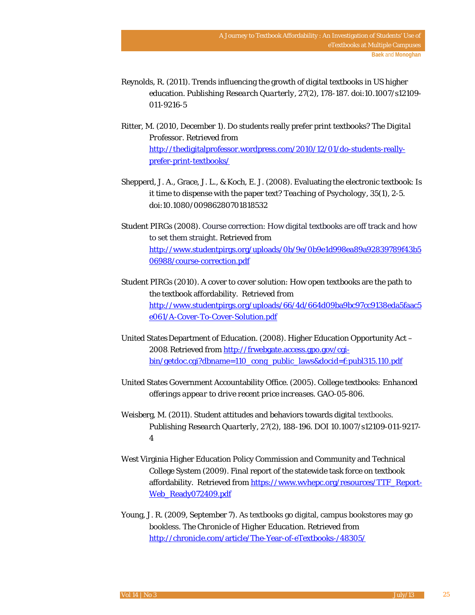- Reynolds, R. (2011). Trends influencing the growth of digital textbooks in US higher education. *Publishing Research Quarterly*, *27*(2), 178-187. doi:10.1007/s12109- 011-9216-5
- Ritter, M. (2010, December 1). Do students really prefer print textbooks? *The Digital Professor*. Retrieved from http://thedigitalprofessor.wordpress.com/2010/12/01/do-students-reallyprefer-print-textbooks/
- Shepperd, J. A., Grace, J. L., & Koch, E. J. (2008). Evaluating the electronic textbook: Is it time to dispense with the paper text? *Teaching of Psychology*, *35*(1), 2-5. doi:10.1080/00986280701818532
- Student PIRGs (2008). Course correction: How digital textbooks are off track and how to set them straight. Retrieved from http://www.studentpirgs.org/uploads/0b/9e/0b9e1d998ea89a92839789f43b5 06988/course-correction.pdf
- Student PIRGs (2010). A cover to cover solution: How open textbooks are the path to the textbook affordability. Retrieved from http://www.studentpirgs.org/uploads/66/4d/664d09ba9bc97cc9138eda5faac5 e061/A-Cover-To-Cover-Solution.pdf
- United States Department of Education. (2008). Higher Education Opportunity Act -2008. Retrieved from http://frwebgate.access.gpo.gov/cgibin/getdoc.cgi?dbname=110\_cong\_public\_laws&docid=f:publ315.110.pdf
- United States Government Accountability Office. (2005). *College textbooks: Enhanced offerings appear to drive recent price increases*. GAO-05-806.
- Weisberg, M. (2011). Student attitudes and behaviors towards digital textbooks. *Publishing Research Quarterly, 27*(2), 188-196. DOI 10.1007/s12109-011-9217- 4
- West Virginia Higher Education Policy Commission and Community and Technical College System (2009). Final report of the statewide task force on textbook affordability. Retrieved from https://www.wvhepc.org/resources/TTF\_Report-Web\_Ready072409.pdf
- Young, J. R. (2009, September 7). As textbooks go digital, campus bookstores may go bookless. *The Chronicle of Higher Education*. Retrieved from http://chronicle.com/article/The-Year-of-eTextbooks-/48305/